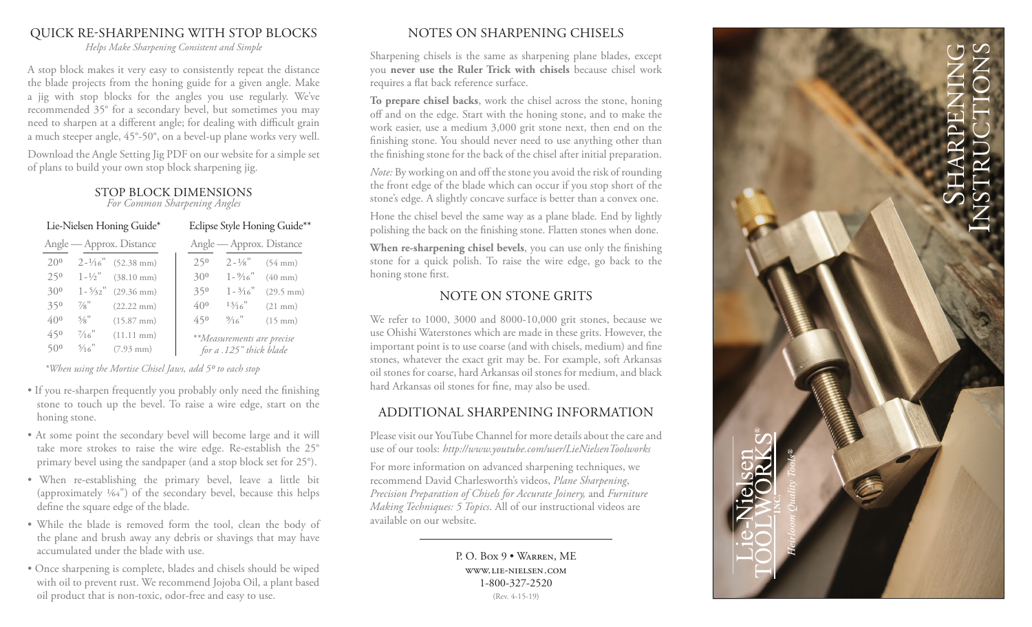### QUICK RE-SHARPENING WITH STOP BLOCKS

*Helps Make Sharpening Consistent and Simple*

A stop block makes it very easy to consistently repeat the distance the blade projects from the honing guide for a given angle. Make a jig with stop blocks for the angles you use regularly. We've recommended 35° for a secondary bevel, but sometimes you may need to sharpen at a different angle; for dealing with difficult grain a much steeper angle, 45°-50°, on a bevel-up plane works very well.

Download the Angle Setting Jig PDF on our website for a simple set of plans to build your own stop block sharpening jig.

#### STOP BLOCK DIMENSIONS

*For Common Sharpening Angles* 

| Lie-Nielsen Honing Guide* |                    |                               |  | Eclipse Style Honing Guide**                          |                    |                     |
|---------------------------|--------------------|-------------------------------|--|-------------------------------------------------------|--------------------|---------------------|
| Angle — Approx. Distance  |                    |                               |  | Angle — Approx. Distance                              |                    |                     |
| 200                       |                    | $2 - \frac{1}{16}$ (52.38 mm) |  | 250                                                   | $2 - \frac{1}{8}$  | $(54 \text{ mm})$   |
| 250                       | $1 - \frac{1}{2}$  | $(38.10 \text{ mm})$          |  | $30^{0}$                                              | $1 - \frac{9}{16}$ | $(40 \text{ mm})$   |
| $30^{0}$                  | $1 - \frac{5}{32}$ | $(29.36)$ mm)                 |  | 350                                                   | $1 - \frac{3}{16}$ | $(29.5 \text{ mm})$ |
| 350                       | $\frac{7}{8}$ "    | $(22.22 \text{ mm})$          |  | 400                                                   | 13/16              | $(21 \text{ mm})$   |
| $40^{0}$                  | 5/8"               | $(15.87$ mm $)$               |  | 450                                                   | $\frac{9}{16}$     | $(15 \text{ mm})$   |
| 450                       | $\frac{7}{16}$ "   | $(11.11 \text{ mm})$          |  | **Measurements are precise<br>for a .125" thick blade |                    |                     |
| $50^{0}$                  | $\frac{5}{16}$     | $(7.93 \text{ mm})$           |  |                                                       |                    |                     |

*\*When using the Mortise Chisel Jaws, add 5 0 to each stop*

- If you re-sharpen frequently you probably only need the finishing stone to touch up the bevel. To raise a wire edge, start on the honing stone.
- At some point the secondary bevel will become large and it will take more strokes to raise the wire edge. Re-establish the 25° primary bevel using the sandpaper (and a stop block set for 25°).
- When re-establishing the primary bevel, leave a little bit (approximately  $1/64$ ") of the secondary bevel, because this helps define the square edge of the blade.
- While the blade is removed form the tool, clean the body of the plane and brush away any debris or shavings that may have accumulated under the blade with use.
- Once sharpening is complete, blades and chisels should be wiped with oil to prevent rust. We recommend Jojoba Oil, a plant based oil product that is non-toxic, odor-free and easy to use.

### NOTES ON SHARPENING CHISELS

Sharpening chisels is the same as sharpening plane blades, except you **never use the Ruler Trick with chisels** because chisel work requires a flat back reference surface.

**To prepare chisel backs**, work the chisel across the stone, honing off and on the edge. Start with the honing stone, and to make the work easier, use a medium 3,000 grit stone next, then end on the finishing stone. You should never need to use anything other than the finishing stone for the back of the chisel after initial preparation.

*Note:* By working on and off the stone you avoid the risk of rounding the front edge of the blade which can occur if you stop short of the stone's edge. A slightly concave surface is better than a convex one.

Hone the chisel bevel the same way as a plane blade. End by lightly polishing the back on the finishing stone. Flatten stones when done.

**When re-sharpening chisel bevels**, you can use only the finishing stone for a quick polish. To raise the wire edge, go back to the honing stone first.

#### NOTE ON STONE GRITS

We refer to 1000, 3000 and 8000-10,000 grit stones, because we use Ohishi Waterstones which are made in these grits. However, the important point is to use coarse (and with chisels, medium) and fine stones, whatever the exact grit may be. For example, soft Arkansas oil stones for coarse, hard Arkansas oil stones for medium, and black hard Arkansas oil stones for fine, may also be used.

### ADDITIONAL SHARPENING INFORMATION

Please visit our YouTube Channel for more details about the care and use of our tools: *http://www.youtube.com/user/LieNielsenToolworks*

For more information on advanced sharpening techniques, we recommend David Charlesworth's videos, *Plane Sharpening*, *Precision Preparation of Chisels for Accurate Joinery,* and *Furniture Making Techniques: 5 Topics*. All of our instructional videos are available on our website.

> P. O. Box 9 • Warren, ME www.lie-nielsen.com 1-800-327-2520 (Rev. 4-15-19)